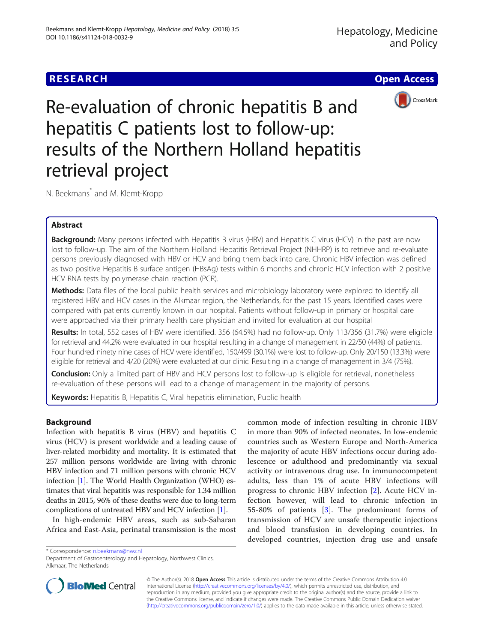# **RESEARCH CHE Open Access**



Re-evaluation of chronic hepatitis B and hepatitis C patients lost to follow-up: results of the Northern Holland hepatitis retrieval project

N. Beekmans\* and M. Klemt-Kropp

## Abstract

Background: Many persons infected with Hepatitis B virus (HBV) and Hepatitis C virus (HCV) in the past are now lost to follow-up. The aim of the Northern Holland Hepatitis Retrieval Project (NHHRP) is to retrieve and re-evaluate persons previously diagnosed with HBV or HCV and bring them back into care. Chronic HBV infection was defined as two positive Hepatitis B surface antigen (HBsAg) tests within 6 months and chronic HCV infection with 2 positive HCV RNA tests by polymerase chain reaction (PCR).

Methods: Data files of the local public health services and microbiology laboratory were explored to identify all registered HBV and HCV cases in the Alkmaar region, the Netherlands, for the past 15 years. Identified cases were compared with patients currently known in our hospital. Patients without follow-up in primary or hospital care were approached via their primary health care physician and invited for evaluation at our hospital

Results: In total, 552 cases of HBV were identified. 356 (64.5%) had no follow-up. Only 113/356 (31.7%) were eligible for retrieval and 44.2% were evaluated in our hospital resulting in a change of management in 22/50 (44%) of patients. Four hundred ninety nine cases of HCV were identified, 150/499 (30.1%) were lost to follow-up. Only 20/150 (13.3%) were eligible for retrieval and 4/20 (20%) were evaluated at our clinic. Resulting in a change of management in 3/4 (75%).

Conclusion: Only a limited part of HBV and HCV persons lost to follow-up is eligible for retrieval, nonetheless re-evaluation of these persons will lead to a change of management in the majority of persons.

Keywords: Hepatitis B, Hepatitis C, Viral hepatitis elimination, Public health

## Background

Infection with hepatitis B virus (HBV) and hepatitis C virus (HCV) is present worldwide and a leading cause of liver-related morbidity and mortality. It is estimated that 257 million persons worldwide are living with chronic HBV infection and 71 million persons with chronic HCV infection [\[1\]](#page-5-0). The World Health Organization (WHO) estimates that viral hepatitis was responsible for 1.34 million deaths in 2015, 96% of these deaths were due to long-term complications of untreated HBV and HCV infection [\[1](#page-5-0)].

In high-endemic HBV areas, such as sub-Saharan Africa and East-Asia, perinatal transmission is the most common mode of infection resulting in chronic HBV in more than 90% of infected neonates. In low-endemic countries such as Western Europe and North-America the majority of acute HBV infections occur during adolescence or adulthood and predominantly via sexual activity or intravenous drug use. In immunocompetent adults, less than 1% of acute HBV infections will progress to chronic HBV infection [[2](#page-5-0)]. Acute HCV infection however, will lead to chronic infection in 55-80% of patients [\[3](#page-5-0)]. The predominant forms of transmission of HCV are unsafe therapeutic injections and blood transfusion in developing countries. In developed countries, injection drug use and unsafe

\* Correspondence: [n.beekmans@nwz.nl](mailto:n.beekmans@nwz.nl)

Department of Gastroenterology and Hepatology, Northwest Clinics, Alkmaar, The Netherlands



© The Author(s). 2018 Open Access This article is distributed under the terms of the Creative Commons Attribution 4.0 International License [\(http://creativecommons.org/licenses/by/4.0/](http://creativecommons.org/licenses/by/4.0/)), which permits unrestricted use, distribution, and reproduction in any medium, provided you give appropriate credit to the original author(s) and the source, provide a link to the Creative Commons license, and indicate if changes were made. The Creative Commons Public Domain Dedication waiver [\(http://creativecommons.org/publicdomain/zero/1.0/](http://creativecommons.org/publicdomain/zero/1.0/)) applies to the data made available in this article, unless otherwise stated.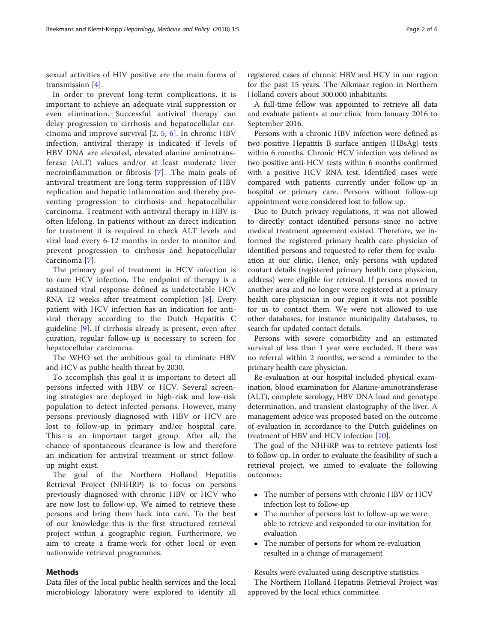sexual activities of HIV positive are the main forms of transmission [\[4](#page-5-0)].

In order to prevent long-term complications, it is important to achieve an adequate viral suppression or even elimination. Successful antiviral therapy can delay progression to cirrhosis and hepatocellular carcinoma and improve survival [\[2,](#page-5-0) [5](#page-5-0), [6\]](#page-5-0). In chronic HBV infection, antiviral therapy is indicated if levels of HBV DNA are elevated, elevated alanine aminotransferase (ALT) values and/or at least moderate liver necroinflammation or fibrosis [\[7\]](#page-5-0). .The main goals of antiviral treatment are long-term suppression of HBV replication and hepatic inflammation and thereby preventing progression to cirrhosis and hepatocellular carcinoma. Treatment with antiviral therapy in HBV is often lifelong. In patients without an direct indication for treatment it is required to check ALT levels and viral load every 6-12 months in order to monitor and prevent progression to cirrhosis and hepatocellular carcinoma [\[7](#page-5-0)].

The primary goal of treatment in HCV infection is to cure HCV infection. The endpoint of therapy is a sustained viral response defined as undetectable HCV RNA 12 weeks after treatment completion [\[8](#page-5-0)]. Every patient with HCV infection has an indication for antiviral therapy according to the Dutch Hepatitis C guideline [[9\]](#page-5-0). If cirrhosis already is present, even after curation, regular follow-up is necessary to screen for hepatocellular carcinoma.

The WHO set the ambitious goal to eliminate HBV and HCV as public health threat by 2030.

To accomplish this goal it is important to detect all persons infected with HBV or HCV. Several screening strategies are deployed in high-risk and low-risk population to detect infected persons. However, many persons previously diagnosed with HBV or HCV are lost to follow-up in primary and/or hospital care. This is an important target group. After all, the chance of spontaneous clearance is low and therefore an indication for antiviral treatment or strict followup might exist.

The goal of the Northern Holland Hepatitis Retrieval Project (NHHRP) is to focus on persons previously diagnosed with chronic HBV or HCV who are now lost to follow-up. We aimed to retrieve these persons and bring them back into care. To the best of our knowledge this is the first structured retrieval project within a geographic region. Furthermore, we aim to create a frame-work for other local or even nationwide retrieval programmes.

## Methods

Data files of the local public health services and the local microbiology laboratory were explored to identify all

registered cases of chronic HBV and HCV in our region for the past 15 years. The Alkmaar region in Northern Holland covers about 300.000 inhabitants.

A full-time fellow was appointed to retrieve all data and evaluate patients at our clinic from January 2016 to September 2016.

Persons with a chronic HBV infection were defined as two positive Hepatitis B surface antigen (HBsAg) tests within 6 months. Chronic HCV infection was defined as two positive anti-HCV tests within 6 months confirmed with a positive HCV RNA test. Identified cases were compared with patients currently under follow-up in hospital or primary care. Persons without follow-up appointment were considered lost to follow up.

Due to Dutch privacy regulations, it was not allowed to directly contact identified persons since no active medical treatment agreement existed. Therefore, we informed the registered primary health care physician of identified persons and requested to refer them for evaluation at our clinic. Hence, only persons with updated contact details (registered primary health care physician, address) were eligible for retrieval. If persons moved to another area and no longer were registered at a primary health care physician in our region it was not possible for us to contact them. We were not allowed to use other databases, for instance municipality databases, to search for updated contact details.

Persons with severe comorbidity and an estimated survival of less than 1 year were excluded. If there was no referral within 2 months, we send a reminder to the primary health care physician.

Re-evaluation at our hospital included physical examination, blood examination for Alanine-aminotransferase (ALT), complete serology, HBV DNA load and genotype determination, and transient elastography of the liver. A management advice was proposed based on the outcome of evaluation in accordance to the Dutch guidelines on treatment of HBV and HCV infection [\[10](#page-5-0)].

The goal of the NHHRP was to retrieve patients lost to follow-up. In order to evaluate the feasibility of such a retrieval project, we aimed to evaluate the following outcomes:

- The number of persons with chronic HBV or HCV infection lost to follow-up
- The number of persons lost to follow-up we were able to retrieve and responded to our invitation for evaluation
- The number of persons for whom re-evaluation resulted in a change of management

Results were evaluated using descriptive statistics. The Northern Holland Hepatitis Retrieval Project was approved by the local ethics committee.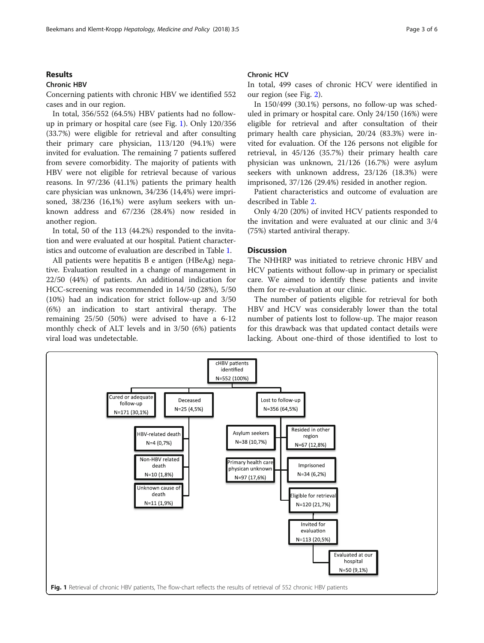## Results

## Chronic HBV

Concerning patients with chronic HBV we identified 552 cases and in our region.

In total, 356/552 (64.5%) HBV patients had no followup in primary or hospital care (see Fig. 1). Only 120/356 (33.7%) were eligible for retrieval and after consulting their primary care physician, 113/120 (94.1%) were invited for evaluation. The remaining 7 patients suffered from severe comorbidity. The majority of patients with HBV were not eligible for retrieval because of various reasons. In 97/236 (41.1%) patients the primary health care physician was unknown, 34/236 (14,4%) were imprisoned, 38/236 (16,1%) were asylum seekers with unknown address and 67/236 (28.4%) now resided in another region.

In total, 50 of the 113 (44.2%) responded to the invitation and were evaluated at our hospital. Patient characteristics and outcome of evaluation are described in Table [1](#page-3-0).

All patients were hepatitis B e antigen (HBeAg) negative. Evaluation resulted in a change of management in 22/50 (44%) of patients. An additional indication for HCC-screening was recommended in 14/50 (28%), 5/50 (10%) had an indication for strict follow-up and 3/50 (6%) an indication to start antiviral therapy. The remaining 25/50 (50%) were advised to have a 6-12 monthly check of ALT levels and in 3/50 (6%) patients viral load was undetectable.

## Chronic HCV

In total, 499 cases of chronic HCV were identified in our region (see Fig. [2\)](#page-4-0).

In 150/499 (30.1%) persons, no follow-up was scheduled in primary or hospital care. Only 24/150 (16%) were eligible for retrieval and after consultation of their primary health care physician, 20/24 (83.3%) were invited for evaluation. Of the 126 persons not eligible for retrieval, in 45/126 (35.7%) their primary health care physician was unknown, 21/126 (16.7%) were asylum seekers with unknown address, 23/126 (18.3%) were imprisoned, 37/126 (29.4%) resided in another region.

Patient characteristics and outcome of evaluation are described in Table [2](#page-4-0).

Only 4/20 (20%) of invited HCV patients responded to the invitation and were evaluated at our clinic and 3/4 (75%) started antiviral therapy.

## **Discussion**

The NHHRP was initiated to retrieve chronic HBV and HCV patients without follow-up in primary or specialist care. We aimed to identify these patients and invite them for re-evaluation at our clinic.

The number of patients eligible for retrieval for both HBV and HCV was considerably lower than the total number of patients lost to follow-up. The major reason for this drawback was that updated contact details were lacking. About one-third of those identified to lost to

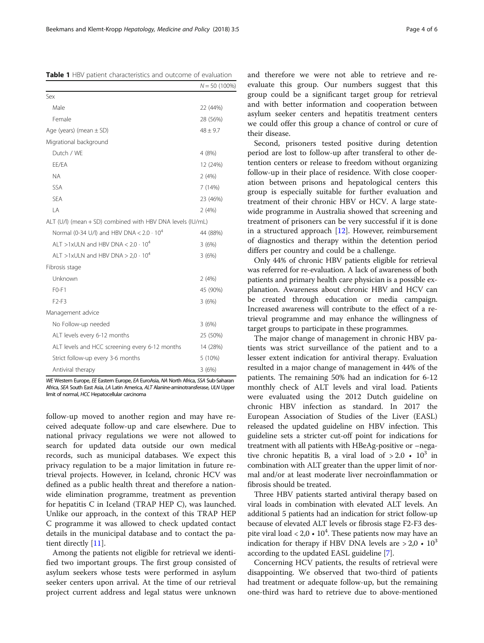WE Western Europe, EE Eastern Europe, EA EuroAsia, NA North Africa, SSA Sub-Saharan Africa, SEA South East Asia, LA Latin America, ALT Alanine-aminotransferase, ULN Upper limit of normal, HCC Hepatocellular carcinoma

follow-up moved to another region and may have received adequate follow-up and care elsewhere. Due to national privacy regulations we were not allowed to search for updated data outside our own medical records, such as municipal databases. We expect this privacy regulation to be a major limitation in future retrieval projects. However, in Iceland, chronic HCV was defined as a public health threat and therefore a nationwide elimination programme, treatment as prevention for hepatitis C in Iceland (TRAP HEP C), was launched. Unlike our approach, in the context of this TRAP HEP C programme it was allowed to check updated contact details in the municipal database and to contact the patient directly [[11\]](#page-5-0).

Among the patients not eligible for retrieval we identified two important groups. The first group consisted of asylum seekers whose tests were performed in asylum seeker centers upon arrival. At the time of our retrieval project current address and legal status were unknown

and therefore we were not able to retrieve and reevaluate this group. Our numbers suggest that this group could be a significant target group for retrieval and with better information and cooperation between asylum seeker centers and hepatitis treatment centers we could offer this group a chance of control or cure of their disease.

Second, prisoners tested positive during detention period are lost to follow-up after transferal to other detention centers or release to freedom without organizing follow-up in their place of residence. With close cooperation between prisons and hepatological centers this group is especially suitable for further evaluation and treatment of their chronic HBV or HCV. A large statewide programme in Australia showed that screening and treatment of prisoners can be very successful if it is done in a structured approach  $[12]$  $[12]$  $[12]$ . However, reimbursement of diagnostics and therapy within the detention period differs per country and could be a challenge.

Only 44% of chronic HBV patients eligible for retrieval was referred for re-evaluation. A lack of awareness of both patients and primary health care physician is a possible explanation. Awareness about chronic HBV and HCV can be created through education or media campaign. Increased awareness will contribute to the effect of a retrieval programme and may enhance the willingness of target groups to participate in these programmes.

The major change of management in chronic HBV patients was strict surveillance of the patient and to a lesser extent indication for antiviral therapy. Evaluation resulted in a major change of management in 44% of the patients. The remaining 50% had an indication for 6-12 monthly check of ALT levels and viral load. Patients were evaluated using the 2012 Dutch guideline on chronic HBV infection as standard. In 2017 the European Association of Studies of the Liver (EASL) released the updated guideline on HBV infection. This guideline sets a stricter cut-off point for indications for treatment with all patients with HBeAg-positive or –negative chronic hepatitis B, a viral load of  $> 2.0 \cdot 10^3$  in combination with ALT greater than the upper limit of normal and/or at least moderate liver necroinflammation or fibrosis should be treated.

Three HBV patients started antiviral therapy based on viral loads in combination with elevated ALT levels. An additional 5 patients had an indication for strict follow-up because of elevated ALT levels or fibrosis stage F2-F3 despite viral load <  $2.0 \cdot 10^4$ . These patients now may have an indication for therapy if HBV DNA levels are  $>2.0 \cdot 10^3$ according to the updated EASL guideline [\[7\]](#page-5-0).

Concerning HCV patients, the results of retrieval were disappointing. We observed that two-third of patients had treatment or adequate follow-up, but the remaining one-third was hard to retrieve due to above-mentioned

<span id="page-3-0"></span>Table 1 HBV patient characteristics and outcome of evaluation

|                                                                                                                                                         | $N = 50(100\%)$               |
|---------------------------------------------------------------------------------------------------------------------------------------------------------|-------------------------------|
| Sex                                                                                                                                                     |                               |
| Male                                                                                                                                                    | 22 (44%)                      |
| Female                                                                                                                                                  | 28 (56%)                      |
| Age (years) (mean $\pm$ SD)                                                                                                                             | $48 \pm 9.7$                  |
| Migrational background                                                                                                                                  |                               |
| Dutch / WE                                                                                                                                              | 4 (8%)                        |
| EE/EA                                                                                                                                                   | 12 (24%)                      |
| <b>NA</b>                                                                                                                                               | 2(4%)                         |
| <b>SSA</b>                                                                                                                                              | 7 (14%)                       |
| <b>SEA</b>                                                                                                                                              | 23 (46%)                      |
| LA                                                                                                                                                      | 2(4%)                         |
| ALT (U/I) (mean + SD) combined with HBV DNA levels (IU/mL)                                                                                              |                               |
| Normal (0-34 U/l) and HBV DNA < $2.0 \cdot 10^4$                                                                                                        | 44 (88%)                      |
| ALT >1xULN and HBV DNA < $2.0 \cdot 10^4$                                                                                                               | 3(6%)                         |
| ALT >1xULN and HBV DNA > $2,0 \cdot 10^4$                                                                                                               | 3(6%)                         |
| Fibrosis stage                                                                                                                                          |                               |
| Unknown                                                                                                                                                 | 2(4%)                         |
| $FO-F1$                                                                                                                                                 | 45 (90%)                      |
| $F2-F3$                                                                                                                                                 | 3(6%)                         |
| Management advice                                                                                                                                       |                               |
| No Follow-up needed                                                                                                                                     | 3(6%)                         |
| ALT levels every 6-12 months                                                                                                                            | 25 (50%)                      |
| ALT levels and HCC screening every 6-12 months                                                                                                          | 14 (28%)                      |
| Strict follow-up every 3-6 months                                                                                                                       | 5(10%)                        |
| Antiviral therapy                                                                                                                                       | 3(6%)                         |
| $FA = \frac{1}{2}$ $A = \frac{1}{2}$ $A = \frac{1}{2}$ $A = \frac{1}{2}$ $A = \frac{1}{2}$<br>a Francis<br>$\Gamma\Gamma$ $\Gamma$ $\sim$ $\sim$ $\sim$ | $CCA$ C. $\vdash$ C. $\vdash$ |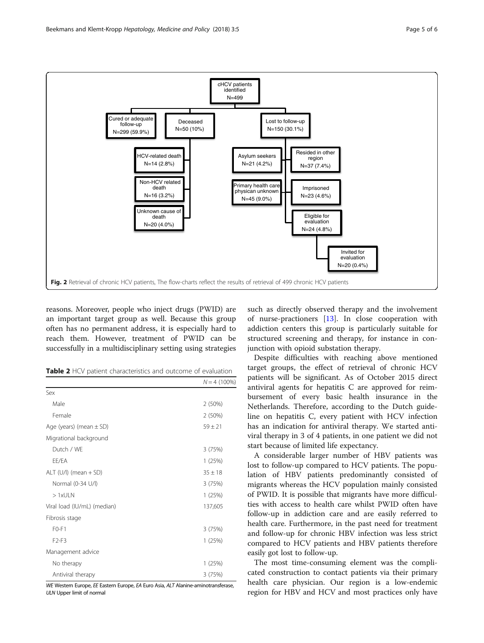<span id="page-4-0"></span>

reasons. Moreover, people who inject drugs (PWID) are an important target group as well. Because this group often has no permanent address, it is especially hard to reach them. However, treatment of PWID can be successfully in a multidisciplinary setting using strategies

|                             | $N = 4(100\%)$ |
|-----------------------------|----------------|
| Sex                         |                |
| Male                        | 2(50%)         |
| Female                      | 2(50%)         |
| Age (years) (mean $\pm$ SD) | $59 \pm 21$    |
| Migrational background      |                |
| Dutch / WE                  | 3(75%)         |
| EE/EA                       | 1(25%)         |
| $ALT$ (U/I) (mean $+$ SD)   | $35 + 18$      |
| Normal (0-34 U/l)           | 3(75%)         |
| $>1$ xULN                   | 1(25%)         |
| Viral load (IU/mL) (median) | 137,605        |
| Fibrosis stage              |                |
| $FO-F1$                     | 3(75%)         |
| $F2-F3$                     | 1(25%)         |
| Management advice           |                |
| No therapy                  | 1(25%)         |
| Antiviral therapy           | 3 (75%)        |

WE Western Europe, EE Eastern Europe, EA Euro Asia, ALT Alanine-aminotransferase, ULN Upper limit of normal

such as directly observed therapy and the involvement of nurse-practioners [\[13](#page-5-0)]. In close cooperation with addiction centers this group is particularly suitable for structured screening and therapy, for instance in conjunction with opioid substation therapy.

Despite difficulties with reaching above mentioned target groups, the effect of retrieval of chronic HCV patients will be significant. As of October 2015 direct antiviral agents for hepatitis C are approved for reimbursement of every basic health insurance in the Netherlands. Therefore, according to the Dutch guideline on hepatitis C, every patient with HCV infection has an indication for antiviral therapy. We started antiviral therapy in 3 of 4 patients, in one patient we did not start because of limited life expectancy.

A considerable larger number of HBV patients was lost to follow-up compared to HCV patients. The population of HBV patients predominantly consisted of migrants whereas the HCV population mainly consisted of PWID. It is possible that migrants have more difficulties with access to health care whilst PWID often have follow-up in addiction care and are easily referred to health care. Furthermore, in the past need for treatment and follow-up for chronic HBV infection was less strict compared to HCV patients and HBV patients therefore easily got lost to follow-up.

The most time-consuming element was the complicated construction to contact patients via their primary health care physician. Our region is a low-endemic region for HBV and HCV and most practices only have